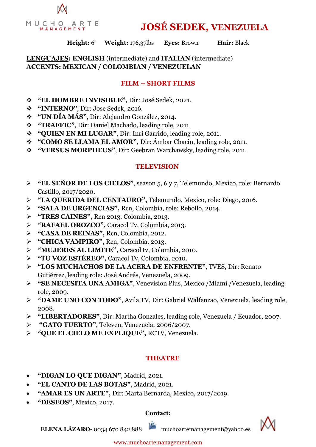

**JOSÉ SEDEK, VENEZUELA**

#### **Height:** 6' **Weight:** 176,37lbs **Eyes:** Brown **Hair:** Black

### **LENGUAJES: ENGLISH** (intermediate) and **ITALIAN** (intermediate) **ACCENTS: MEXICAN / COLOMBIAN / VENEZUELAN**

#### **FILM – SHORT FILMS**

- ❖ **"EL HOMBRE INVISIBLE",** Dir: José Sedek, 2021.
- ❖ **"INTERNO"**, Dir: Jose Sedek, 2016.
- ❖ **"UN DÍA MÁS"**, Dir: Alejandro González, 2014.
- ❖ **"TRAFFIC"**, Dir: Daniel Machado, leading role, 2011.
- ❖ **"QUIEN EN MI LUGAR"**, Dir: Inri Garrido, leading role, 2011.
- ❖ **"COMO SE LLAMA EL AMOR",** Dir: Ámbar Chacin, leading role, 2011.
- ❖ **"VERSUS MORPHEUS"**, Dir: Geebran Warchawsky, leading role, 2011.

#### **TELEVISION**

- ➢ **"EL SEÑOR DE LOS CIELOS"**, season 5, 6 y 7, Telemundo, Mexico, role: Bernardo Castillo, 2017/2020.
- ➢ **"LA QUERIDA DEL CENTAURO",** Telemundo, Mexico, role: Diego, 2016.
- ➢ **"SALA DE URGENCIAS",** Rcn, Colombia, role: Rebollo, 2014.
- ➢ **"TRES CAINES",** Rcn 2013. Colombia, 2013.
- ➢ **"RAFAEL OROZCO",** Caracol Tv, Colombia, 2013.
- ➢ **"CASA DE REINAS",** Rcn, Colombia, 2012.
- ➢ **"CHICA VAMPIRO",** Rcn, Colombia, 2013.
- ➢ **"MUJERES AL LIMITE",** Caracol tv, Colombia, 2010.
- ➢ **"TU VOZ ESTÉREO",** Caracol Tv, Colombia, 2010.
- ➢ **"LOS MUCHACHOS DE LA ACERA DE ENFRENTE"**, TVES, Dir: Renato Gutiérrez, leading role: José Andrés, Venezuela, 2009.
- ➢ **"SE NECESITA UNA AMIGA"**, Venevision Plus, Mexico /Miami /Venezuela, leading role, 2009.
- ➢ **"DAME UNO CON TODO"**, Avila TV, Dir: Gabriel Walfenzao, Venezuela, leading role, 2008.
- ➢ **"LIBERTADORES"**, Dir: Martha Gonzales, leading role, Venezuela / Ecuador, 2007.
- ➢ **"GATO TUERTO"**, Televen, Venezuela, 2006/2007.
- ➢ **"QUE EL CIELO ME EXPLIQUE",** RCTV, Venezuela.

#### **THEATRE**

- **"DIGAN LO QUE DIGAN"**, Madrid, 2021.
- **"EL CANTO DE LAS BOTAS"**, Madrid, 2021.
- **"AMAR ES UN ARTE",** Dir: Marta Bernarda, Mexico, 2017/2019.
- **"DESEOS"**, Mexico, 2017.

#### **Contact:**

**ELENA LÁZARO-** 0034 670 842 888 muchoartemanagement@yahoo.es



www.muchoartemanagement.com